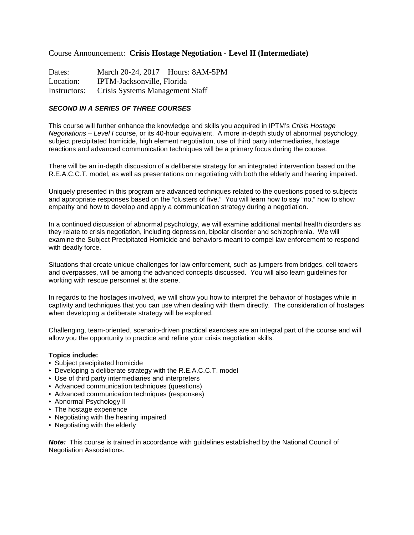## Course Announcement: **Crisis Hostage Negotiation - Level II (Intermediate)**

Dates: March 20-24, 2017 Hours: 8AM-5PM Location: IPTM-Jacksonville, Florida Instructors: Crisis Systems Management Staff

## **SECOND IN A SERIES OF THREE COURSES**

This course will further enhance the knowledge and skills you acquired in IPTM's Crisis Hostage Negotiations – Level I course, or its 40-hour equivalent. A more in-depth study of abnormal psychology, subject precipitated homicide, high element negotiation, use of third party intermediaries, hostage reactions and advanced communication techniques will be a primary focus during the course.

There will be an in-depth discussion of a deliberate strategy for an integrated intervention based on the R.E.A.C.C.T. model, as well as presentations on negotiating with both the elderly and hearing impaired.

Uniquely presented in this program are advanced techniques related to the questions posed to subjects and appropriate responses based on the "clusters of five." You will learn how to say "no," how to show empathy and how to develop and apply a communication strategy during a negotiation.

In a continued discussion of abnormal psychology, we will examine additional mental health disorders as they relate to crisis negotiation, including depression, bipolar disorder and schizophrenia. We will examine the Subject Precipitated Homicide and behaviors meant to compel law enforcement to respond with deadly force.

Situations that create unique challenges for law enforcement, such as jumpers from bridges, cell towers and overpasses, will be among the advanced concepts discussed. You will also learn guidelines for working with rescue personnel at the scene.

In regards to the hostages involved, we will show you how to interpret the behavior of hostages while in captivity and techniques that you can use when dealing with them directly. The consideration of hostages when developing a deliberate strategy will be explored.

Challenging, team-oriented, scenario-driven practical exercises are an integral part of the course and will allow you the opportunity to practice and refine your crisis negotiation skills.

## **Topics include:**

- Subject precipitated homicide
- Developing a deliberate strategy with the R.E.A.C.C.T. model
- Use of third party intermediaries and interpreters
- Advanced communication techniques (questions)
- Advanced communication techniques (responses)
- Abnormal Psychology II
- The hostage experience
- Negotiating with the hearing impaired
- Negotiating with the elderly

**Note:** This course is trained in accordance with guidelines established by the National Council of Negotiation Associations.